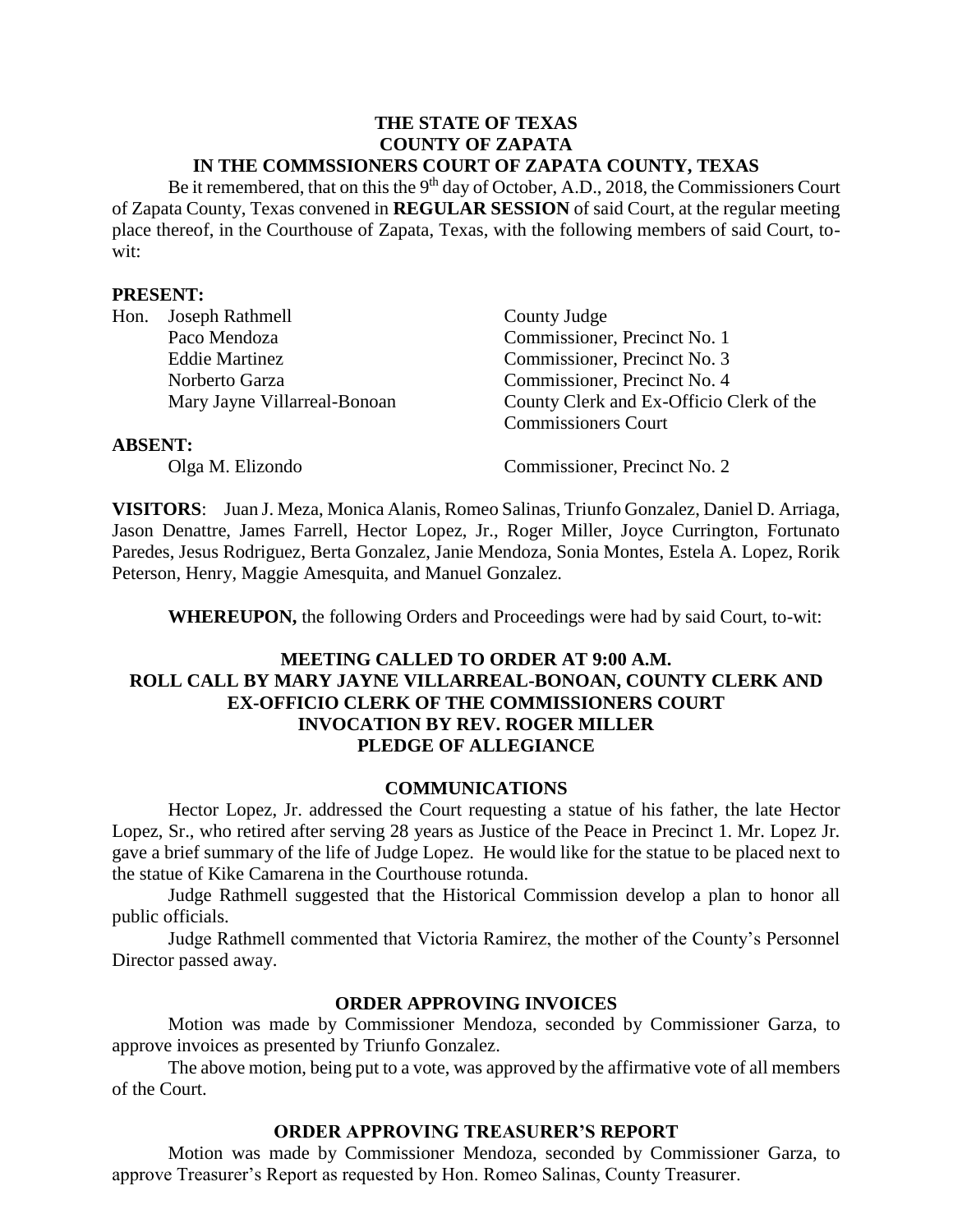#### **THE STATE OF TEXAS COUNTY OF ZAPATA IN THE COMMSSIONERS COURT OF ZAPATA COUNTY, TEXAS**

Be it remembered, that on this the  $9<sup>th</sup>$  day of October, A.D., 2018, the Commissioners Court of Zapata County, Texas convened in **REGULAR SESSION** of said Court, at the regular meeting place thereof, in the Courthouse of Zapata, Texas, with the following members of said Court, towit:

#### **PRESENT:**

| Hon.           | Joseph Rathmell              | County Judge                             |
|----------------|------------------------------|------------------------------------------|
|                | Paco Mendoza                 | Commissioner, Precinct No. 1             |
|                | <b>Eddie Martinez</b>        | Commissioner, Precinct No. 3             |
|                | Norberto Garza               | Commissioner, Precinct No. 4             |
|                | Mary Jayne Villarreal-Bonoan | County Clerk and Ex-Officio Clerk of the |
|                |                              | <b>Commissioners Court</b>               |
| <b>ABSENT:</b> |                              |                                          |
|                |                              |                                          |

Olga M. Elizondo Commissioner, Precinct No. 2

**VISITORS**: Juan J. Meza, Monica Alanis, Romeo Salinas, Triunfo Gonzalez, Daniel D. Arriaga, Jason Denattre, James Farrell, Hector Lopez, Jr., Roger Miller, Joyce Currington, Fortunato Paredes, Jesus Rodriguez, Berta Gonzalez, Janie Mendoza, Sonia Montes, Estela A. Lopez, Rorik Peterson, Henry, Maggie Amesquita, and Manuel Gonzalez.

**WHEREUPON,** the following Orders and Proceedings were had by said Court, to-wit:

## **MEETING CALLED TO ORDER AT 9:00 A.M. ROLL CALL BY MARY JAYNE VILLARREAL-BONOAN, COUNTY CLERK AND EX-OFFICIO CLERK OF THE COMMISSIONERS COURT INVOCATION BY REV. ROGER MILLER PLEDGE OF ALLEGIANCE**

### **COMMUNICATIONS**

Hector Lopez, Jr. addressed the Court requesting a statue of his father, the late Hector Lopez, Sr., who retired after serving 28 years as Justice of the Peace in Precinct 1. Mr. Lopez Jr. gave a brief summary of the life of Judge Lopez. He would like for the statue to be placed next to the statue of Kike Camarena in the Courthouse rotunda.

Judge Rathmell suggested that the Historical Commission develop a plan to honor all public officials.

Judge Rathmell commented that Victoria Ramirez, the mother of the County's Personnel Director passed away.

### **ORDER APPROVING INVOICES**

Motion was made by Commissioner Mendoza, seconded by Commissioner Garza, to approve invoices as presented by Triunfo Gonzalez.

The above motion, being put to a vote, was approved by the affirmative vote of all members of the Court.

### **ORDER APPROVING TREASURER'S REPORT**

Motion was made by Commissioner Mendoza, seconded by Commissioner Garza, to approve Treasurer's Report as requested by Hon. Romeo Salinas, County Treasurer.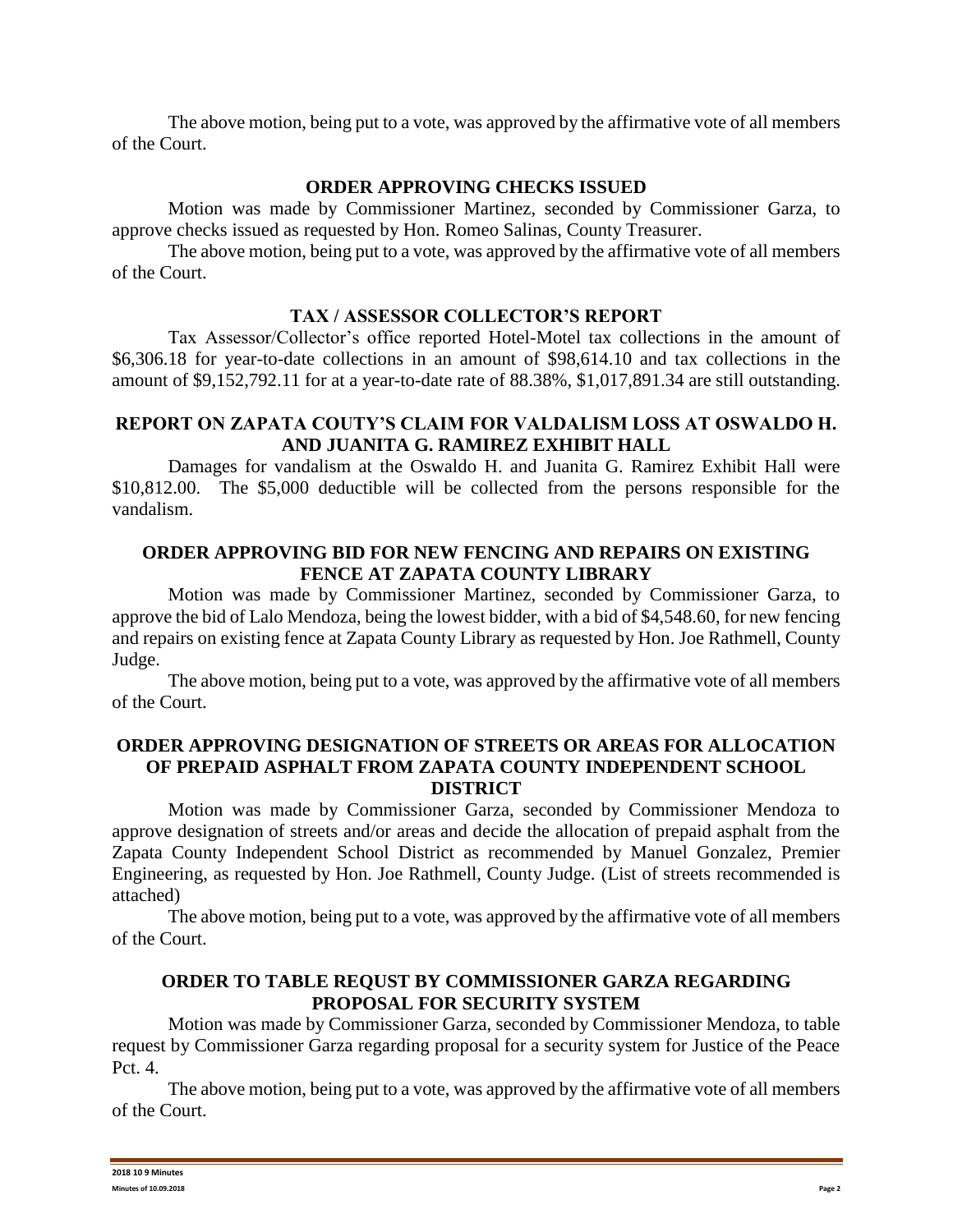The above motion, being put to a vote, was approved by the affirmative vote of all members of the Court.

## **ORDER APPROVING CHECKS ISSUED**

Motion was made by Commissioner Martinez, seconded by Commissioner Garza, to approve checks issued as requested by Hon. Romeo Salinas, County Treasurer.

The above motion, being put to a vote, was approved by the affirmative vote of all members of the Court.

## **TAX / ASSESSOR COLLECTOR'S REPORT**

Tax Assessor/Collector's office reported Hotel-Motel tax collections in the amount of \$6,306.18 for year-to-date collections in an amount of \$98,614.10 and tax collections in the amount of \$9,152,792.11 for at a year-to-date rate of 88.38%, \$1,017,891.34 are still outstanding.

## **REPORT ON ZAPATA COUTY'S CLAIM FOR VALDALISM LOSS AT OSWALDO H. AND JUANITA G. RAMIREZ EXHIBIT HALL**

Damages for vandalism at the Oswaldo H. and Juanita G. Ramirez Exhibit Hall were \$10,812.00. The \$5,000 deductible will be collected from the persons responsible for the vandalism.

## **ORDER APPROVING BID FOR NEW FENCING AND REPAIRS ON EXISTING FENCE AT ZAPATA COUNTY LIBRARY**

Motion was made by Commissioner Martinez, seconded by Commissioner Garza, to approve the bid of Lalo Mendoza, being the lowest bidder, with a bid of \$4,548.60, for new fencing and repairs on existing fence at Zapata County Library as requested by Hon. Joe Rathmell, County Judge.

The above motion, being put to a vote, was approved by the affirmative vote of all members of the Court.

## **ORDER APPROVING DESIGNATION OF STREETS OR AREAS FOR ALLOCATION OF PREPAID ASPHALT FROM ZAPATA COUNTY INDEPENDENT SCHOOL DISTRICT**

Motion was made by Commissioner Garza, seconded by Commissioner Mendoza to approve designation of streets and/or areas and decide the allocation of prepaid asphalt from the Zapata County Independent School District as recommended by Manuel Gonzalez, Premier Engineering, as requested by Hon. Joe Rathmell, County Judge. (List of streets recommended is attached)

The above motion, being put to a vote, was approved by the affirmative vote of all members of the Court.

## **ORDER TO TABLE REQUST BY COMMISSIONER GARZA REGARDING PROPOSAL FOR SECURITY SYSTEM**

Motion was made by Commissioner Garza, seconded by Commissioner Mendoza, to table request by Commissioner Garza regarding proposal for a security system for Justice of the Peace Pct. 4.

The above motion, being put to a vote, was approved by the affirmative vote of all members of the Court.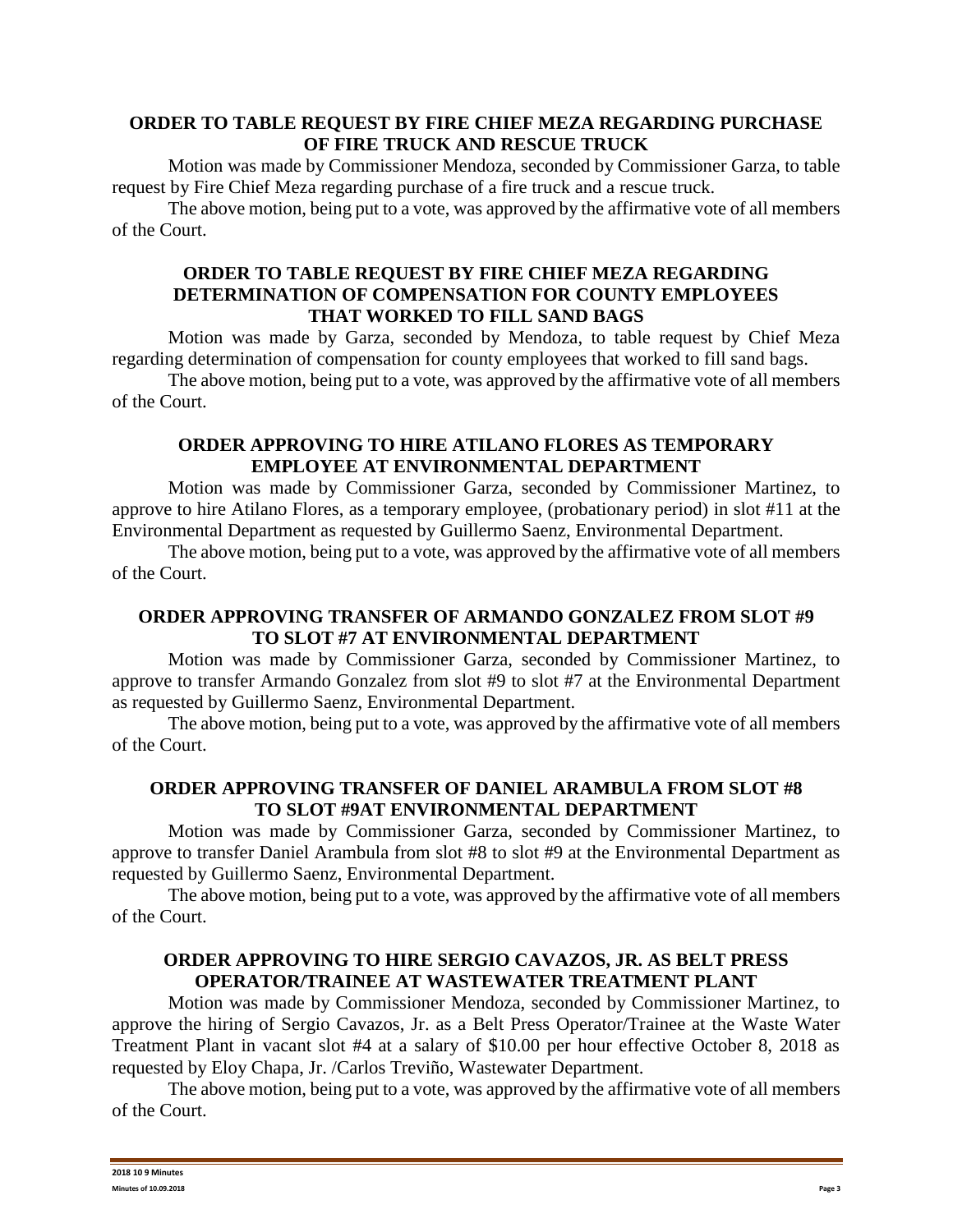## **ORDER TO TABLE REQUEST BY FIRE CHIEF MEZA REGARDING PURCHASE OF FIRE TRUCK AND RESCUE TRUCK**

Motion was made by Commissioner Mendoza, seconded by Commissioner Garza, to table request by Fire Chief Meza regarding purchase of a fire truck and a rescue truck.

The above motion, being put to a vote, was approved by the affirmative vote of all members of the Court.

### **ORDER TO TABLE REQUEST BY FIRE CHIEF MEZA REGARDING DETERMINATION OF COMPENSATION FOR COUNTY EMPLOYEES THAT WORKED TO FILL SAND BAGS**

Motion was made by Garza, seconded by Mendoza, to table request by Chief Meza regarding determination of compensation for county employees that worked to fill sand bags.

The above motion, being put to a vote, was approved by the affirmative vote of all members of the Court.

### **ORDER APPROVING TO HIRE ATILANO FLORES AS TEMPORARY EMPLOYEE AT ENVIRONMENTAL DEPARTMENT**

Motion was made by Commissioner Garza, seconded by Commissioner Martinez, to approve to hire Atilano Flores, as a temporary employee, (probationary period) in slot #11 at the Environmental Department as requested by Guillermo Saenz, Environmental Department.

The above motion, being put to a vote, was approved by the affirmative vote of all members of the Court.

### **ORDER APPROVING TRANSFER OF ARMANDO GONZALEZ FROM SLOT #9 TO SLOT #7 AT ENVIRONMENTAL DEPARTMENT**

Motion was made by Commissioner Garza, seconded by Commissioner Martinez, to approve to transfer Armando Gonzalez from slot #9 to slot #7 at the Environmental Department as requested by Guillermo Saenz, Environmental Department.

The above motion, being put to a vote, was approved by the affirmative vote of all members of the Court.

## **ORDER APPROVING TRANSFER OF DANIEL ARAMBULA FROM SLOT #8 TO SLOT #9AT ENVIRONMENTAL DEPARTMENT**

Motion was made by Commissioner Garza, seconded by Commissioner Martinez, to approve to transfer Daniel Arambula from slot #8 to slot #9 at the Environmental Department as requested by Guillermo Saenz, Environmental Department.

The above motion, being put to a vote, was approved by the affirmative vote of all members of the Court.

## **ORDER APPROVING TO HIRE SERGIO CAVAZOS, JR. AS BELT PRESS OPERATOR/TRAINEE AT WASTEWATER TREATMENT PLANT**

Motion was made by Commissioner Mendoza, seconded by Commissioner Martinez, to approve the hiring of Sergio Cavazos, Jr. as a Belt Press Operator/Trainee at the Waste Water Treatment Plant in vacant slot #4 at a salary of \$10.00 per hour effective October 8, 2018 as requested by Eloy Chapa, Jr. /Carlos Treviño, Wastewater Department.

The above motion, being put to a vote, was approved by the affirmative vote of all members of the Court.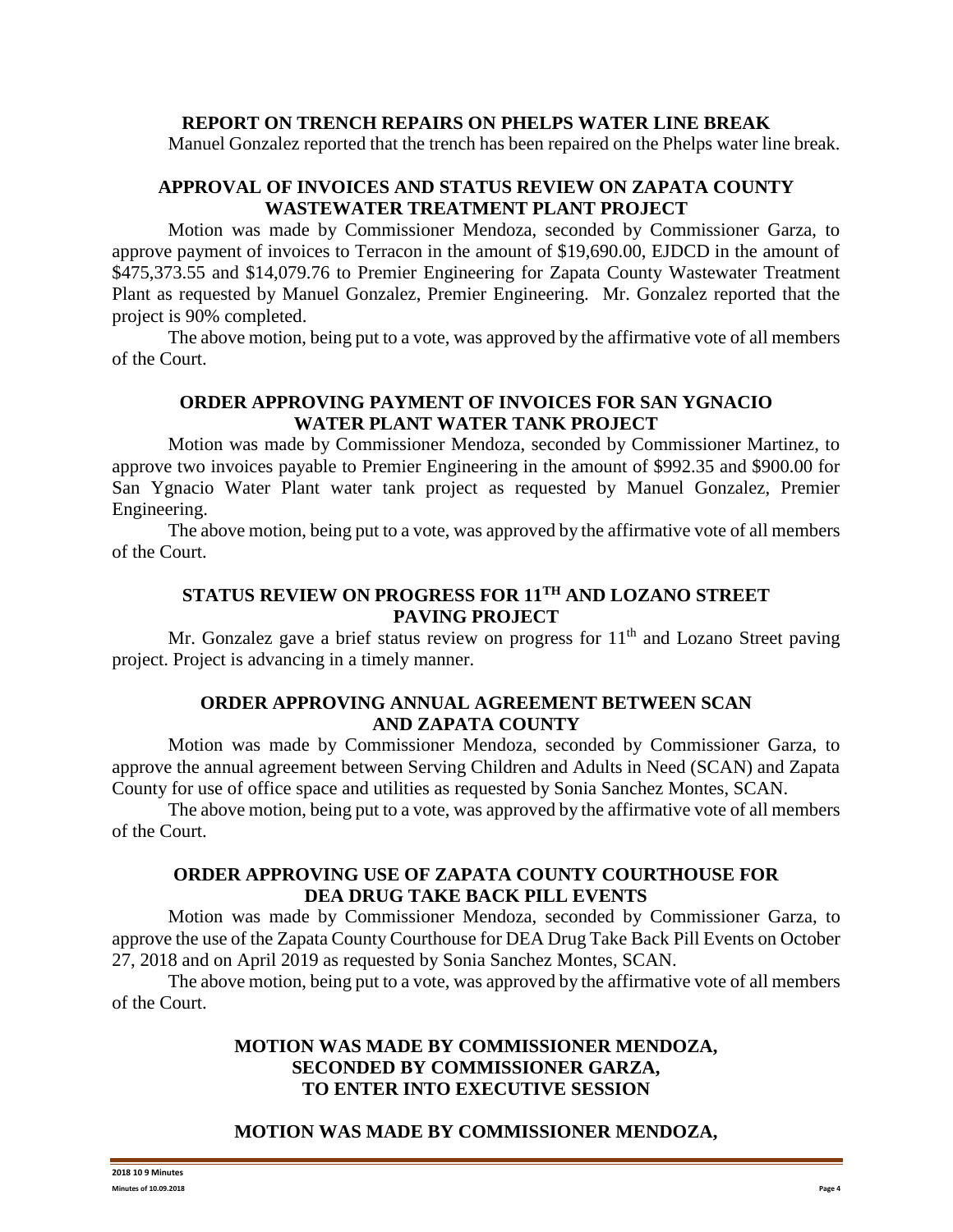#### **REPORT ON TRENCH REPAIRS ON PHELPS WATER LINE BREAK**

Manuel Gonzalez reported that the trench has been repaired on the Phelps water line break.

## **APPROVAL OF INVOICES AND STATUS REVIEW ON ZAPATA COUNTY WASTEWATER TREATMENT PLANT PROJECT**

Motion was made by Commissioner Mendoza, seconded by Commissioner Garza, to approve payment of invoices to Terracon in the amount of \$19,690.00, EJDCD in the amount of \$475,373.55 and \$14,079.76 to Premier Engineering for Zapata County Wastewater Treatment Plant as requested by Manuel Gonzalez, Premier Engineering. Mr. Gonzalez reported that the project is 90% completed.

The above motion, being put to a vote, was approved by the affirmative vote of all members of the Court.

## **ORDER APPROVING PAYMENT OF INVOICES FOR SAN YGNACIO WATER PLANT WATER TANK PROJECT**

Motion was made by Commissioner Mendoza, seconded by Commissioner Martinez, to approve two invoices payable to Premier Engineering in the amount of \$992.35 and \$900.00 for San Ygnacio Water Plant water tank project as requested by Manuel Gonzalez, Premier Engineering.

The above motion, being put to a vote, was approved by the affirmative vote of all members of the Court.

# **STATUS REVIEW ON PROGRESS FOR 11TH AND LOZANO STREET PAVING PROJECT**

Mr. Gonzalez gave a brief status review on progress for  $11<sup>th</sup>$  and Lozano Street paving project. Project is advancing in a timely manner.

## **ORDER APPROVING ANNUAL AGREEMENT BETWEEN SCAN AND ZAPATA COUNTY**

Motion was made by Commissioner Mendoza, seconded by Commissioner Garza, to approve the annual agreement between Serving Children and Adults in Need (SCAN) and Zapata County for use of office space and utilities as requested by Sonia Sanchez Montes, SCAN.

The above motion, being put to a vote, was approved by the affirmative vote of all members of the Court.

### **ORDER APPROVING USE OF ZAPATA COUNTY COURTHOUSE FOR DEA DRUG TAKE BACK PILL EVENTS**

Motion was made by Commissioner Mendoza, seconded by Commissioner Garza, to approve the use of the Zapata County Courthouse for DEA Drug Take Back Pill Events on October 27, 2018 and on April 2019 as requested by Sonia Sanchez Montes, SCAN.

The above motion, being put to a vote, was approved by the affirmative vote of all members of the Court.

## **MOTION WAS MADE BY COMMISSIONER MENDOZA, SECONDED BY COMMISSIONER GARZA, TO ENTER INTO EXECUTIVE SESSION**

## **MOTION WAS MADE BY COMMISSIONER MENDOZA,**